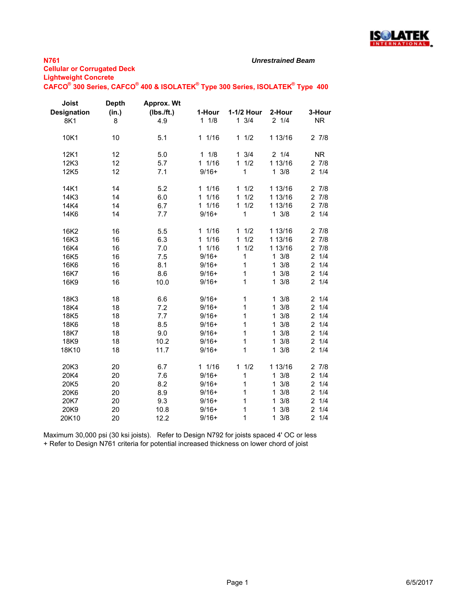

#### *Unrestrained Beam*

**CAFCO® 300 Series, CAFCO® 400 & ISOLATEK® Type 300 Series, ISOLATEK® Type 400**

| Joist<br><b>Designation</b><br>8K1 | <b>Depth</b><br>(in.)<br>8 | Approx. Wt<br>(Ibs./ft.)<br>4.9 | 1-Hour<br>11/8 | 1-1/2 Hour<br>$1 \t3/4$ | 2-Hour<br>$2 \t1/4$ | 3-Hour<br><b>NR</b>   |
|------------------------------------|----------------------------|---------------------------------|----------------|-------------------------|---------------------|-----------------------|
| 10K1                               | 10                         | 5.1                             | 11/16          | 11/2                    | 1 13/16             | 27/8                  |
| 12K1                               | 12                         | 5.0                             | 11/8           | $1 \t3/4$               | 21/4                | <b>NR</b>             |
| 12K3                               | 12                         | 5.7                             | 11/16          | 11/2                    | 1 13/16             | 27/8                  |
| 12K5                               | 12                         | 7.1                             | $9/16+$        | 1                       | $1 \frac{3}{8}$     | $2 \t1/4$             |
| 14K1                               | 14                         | 5.2                             | 11/16          | 11/2                    | 1 13/16             | 27/8                  |
| 14K3                               | 14                         | 6.0                             | 1/16<br>1.     | 1/2<br>$\mathbf{1}$     | 1 13/16             | 27/8                  |
| 14K4                               | 14                         | 6.7                             | 11/16          | 11/2                    | 1 13/16             | $2 \t7/8$             |
| 14K6                               | 14                         | 7.7                             | $9/16+$        | 1                       | $1 \frac{3}{8}$     | 21/4                  |
| 16K2                               | 16                         | 5.5                             | 11/16          | 1/2<br>1                | 1 13/16             | 27/8                  |
| 16K3                               | 16                         | 6.3                             | 11/16          | 1/2<br>$\mathbf{1}$     | 1 13/16             | 27/8                  |
| 16K4                               | 16                         | 7.0                             | 11/16          | 11/2                    | 1 13/16             | 27/8                  |
| 16K5                               | 16                         | 7.5                             | $9/16+$        | 1                       | $1 \frac{3}{8}$     | $\overline{2}$<br>1/4 |
| 16K6                               | 16                         | 8.1                             | $9/16+$        | 1                       | 3/8<br>$\mathbf{1}$ | $\overline{2}$<br>1/4 |
| 16K7                               | 16                         | 8.6                             | $9/16+$        | 1                       | 3/8<br>$\mathbf 1$  | $\overline{2}$<br>1/4 |
| 16K9                               | 16                         | 10.0                            | $9/16+$        | 1                       | 3/8<br>$\mathbf{1}$ | $2 \t1/4$             |
| 18K3                               | 18                         | 6.6                             | $9/16+$        | 1                       | $1 \frac{3}{8}$     | $2 \t1/4$             |
| 18K4                               | 18                         | 7.2                             | $9/16+$        | $\mathbf 1$             | 3/8<br>1            | 1/4<br>$\overline{2}$ |
| 18K5                               | 18                         | 7.7                             | $9/16+$        | 1                       | 3/8<br>1            | $\overline{a}$<br>1/4 |
| 18K6                               | 18                         | 8.5                             | $9/16+$        | $\mathbf 1$             | 3/8<br>$\mathbf{1}$ | $\overline{2}$<br>1/4 |
| 18K7                               | 18                         | 9.0                             | $9/16+$        | 1                       | 3/8<br>1            | $\overline{2}$<br>1/4 |
| 18K9                               | 18                         | 10.2                            | $9/16+$        | 1                       | 3/8<br>$\mathbf{1}$ | 1/4<br>$\overline{2}$ |
| 18K10                              | 18                         | 11.7                            | $9/16+$        | 1                       | 3/8<br>$\mathbf{1}$ | 21/4                  |
| 20K3                               | 20                         | 6.7                             | 11/16          | 11/2                    | 1 13/16             | 27/8                  |
| 20K4                               | 20                         | 7.6                             | $9/16+$        | 1                       | 3/8<br>$\mathbf{1}$ | $\overline{2}$<br>1/4 |
| 20K5                               | 20                         | 8.2                             | $9/16+$        | 1                       | 3/8<br>$\mathbf{1}$ | 21/4                  |
| 20K6                               | 20                         | 8.9                             | $9/16+$        | 1                       | 3/8<br>$\mathbf{1}$ | 21/4                  |
| 20K7                               | 20                         | 9.3                             | $9/16+$        | 1                       | 3/8<br>$\mathbf{1}$ | $2 \t1/4$             |
| 20K9                               | 20                         | 10.8                            | $9/16+$        | 1                       | 3/8<br>$\mathbf{1}$ | $\overline{2}$<br>1/4 |
| 20K10                              | 20                         | 12.2                            | $9/16+$        | 1                       | $1 \frac{3}{8}$     | 21/4                  |

Maximum 30,000 psi (30 ksi joists). Refer to Design N792 for joists spaced 4' OC or less + Refer to Design N761 criteria for potential increased thickness on lower chord of joist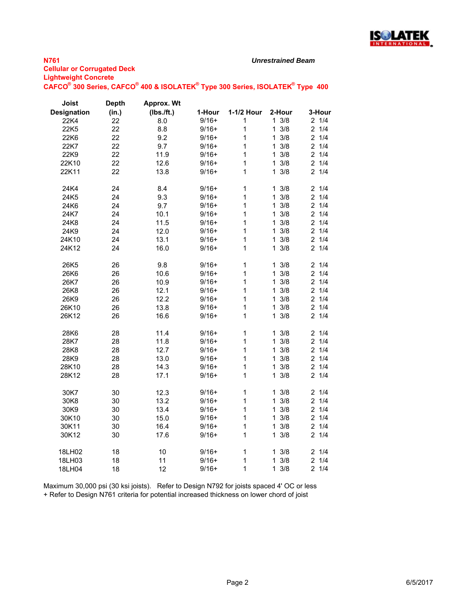

### *Unrestrained Beam*

| <b>Lightweight Conclete</b> |                                                                                                                               |
|-----------------------------|-------------------------------------------------------------------------------------------------------------------------------|
|                             | CAFCO <sup>®</sup> 300 Series, CAFCO <sup>®</sup> 400 & ISOLATEK <sup>®</sup> Type 300 Series, ISOLATEK <sup>®</sup> Type 400 |

| Joist              | <b>Depth</b> | Approx. Wt |         |            |                     |                       |
|--------------------|--------------|------------|---------|------------|---------------------|-----------------------|
| <b>Designation</b> | (in.)        | (Ibs./ft.) | 1-Hour  | 1-1/2 Hour | 2-Hour              | 3-Hour                |
| 22K4               | 22           | 8.0        | $9/16+$ | 1          | $1 \frac{3}{8}$     | 21/4                  |
| 22K <sub>5</sub>   | 22           | 8.8        | $9/16+$ | 1          | $\mathbf{1}$<br>3/8 | 21/4                  |
| 22K6               | 22           | 9.2        | $9/16+$ | 1          | 3/8<br>1.           | $2 \t1/4$             |
| 22K7               | 22           | 9.7        | $9/16+$ | 1          | $1 \frac{3}{8}$     | $\overline{2}$<br>1/4 |
| 22K9               | 22           | 11.9       | $9/16+$ | 1          | $1 \frac{3}{8}$     | $2 \t1/4$             |
| 22K10              | 22           | 12.6       | $9/16+$ | 1          | 3/8<br>$\mathbf{1}$ | $2 \t1/4$             |
| 22K11              | 22           | 13.8       | $9/16+$ | 1          | 3/8<br>$\mathbf{1}$ | 21/4                  |
|                    |              |            |         |            |                     |                       |
| 24K4               | 24           | 8.4        | $9/16+$ | 1          | $1 \frac{3}{8}$     | 21/4                  |
| 24K5               | 24           | 9.3        | $9/16+$ | 1          | $1 \frac{3}{8}$     | 21/4                  |
| 24K6               | 24           | 9.7        | $9/16+$ | 1          | $1 \frac{3}{8}$     | 21/4                  |
| 24K7               | 24           | 10.1       | $9/16+$ | 1          | 3/8<br>$\mathbf{1}$ | 21/4                  |
| 24K8               | 24           | 11.5       | $9/16+$ | 1          | $1 \frac{3}{8}$     | 21/4                  |
| 24K9               | 24           | 12.0       | $9/16+$ | 1          | 3/8<br>$\mathbf{1}$ | $2 \t1/4$             |
| 24K10              | 24           | 13.1       | $9/16+$ | 1          | 3/8<br>$\mathbf{1}$ | 21/4                  |
| 24K12              | 24           | 16.0       | $9/16+$ | 1          | 3/8<br>$\mathbf{1}$ | $2 \t1/4$             |
| 26K5               | 26           | 9.8        | $9/16+$ | 1          | $1 \frac{3}{8}$     | 21/4                  |
| 26K6               | 26           | 10.6       | $9/16+$ | 1          | 3/8<br>1.           | $2 \t1/4$             |
| 26K7               | 26           | 10.9       | $9/16+$ | 1          | $\mathbf{1}$<br>3/8 | $\overline{2}$<br>1/4 |
| 26K8               | 26           | 12.1       | $9/16+$ | 1          | $1 \frac{3}{8}$     | $2 \t1/4$             |
| 26K9               | 26           | 12.2       | $9/16+$ | 1          | 3/8<br>$\mathbf 1$  | $\overline{2}$<br>1/4 |
| 26K10              | 26           | 13.8       | $9/16+$ | 1          | $\mathbf{1}$<br>3/8 | $\overline{2}$<br>1/4 |
| 26K12              | 26           | 16.6       | $9/16+$ | 1          | $1 \frac{3}{8}$     | 21/4                  |
|                    |              |            |         |            |                     |                       |
| 28K6               | 28           | 11.4       | $9/16+$ | 1          | 3/8<br>$\mathbf 1$  | 21/4                  |
| 28K7               | 28           | 11.8       | $9/16+$ | 1          | 3/8<br>$\mathbf{1}$ | 21/4                  |
| 28K8               | 28           | 12.7       | $9/16+$ | 1          | 3/8<br>$\mathbf{1}$ | 21/4                  |
| 28K9               | 28           | 13.0       | $9/16+$ | 1          | $1 \frac{3}{8}$     | 21/4                  |
| 28K10              | 28           | 14.3       | $9/16+$ | 1          | 3/8<br>1            | 1/4<br>$\overline{2}$ |
| 28K12              | 28           | 17.1       | $9/16+$ | 1          | $1 \t3/8$           | $2 \t1/4$             |
| 30K7               | 30           | 12.3       | $9/16+$ | 1          | 3/8<br>1            | 1/4<br>$\overline{2}$ |
| 30K8               | 30           | 13.2       | $9/16+$ | 1          | $1 \frac{3}{8}$     | 21/4                  |
| 30K9               | 30           | 13.4       | $9/16+$ | 1          | 3/8<br>1.           | 1/4<br>$\overline{c}$ |
| 30K10              | 30           | 15.0       | $9/16+$ | 1          | $1 \frac{3}{8}$     | $\overline{2}$<br>1/4 |
| 30K11              | 30           | 16.4       | $9/16+$ | 1          | 3/8<br>1            | $\overline{c}$<br>1/4 |
| 30K12              | 30           | 17.6       | $9/16+$ | 1          | 3/8<br>1            | 21/4                  |
|                    |              |            |         |            |                     |                       |
| 18LH02             | 18           | 10         | $9/16+$ | 1          | 3/8<br>1.           | $\overline{2}$<br>1/4 |
| 18LH03             | 18           | 11         | $9/16+$ | 1          | $\mathbf{1}$<br>3/8 | 21/4                  |
| 18LH04             | 18           | 12         | $9/16+$ | 1          | 3/8<br>1            | 21/4                  |

Maximum 30,000 psi (30 ksi joists). Refer to Design N792 for joists spaced 4' OC or less + Refer to Design N761 criteria for potential increased thickness on lower chord of joist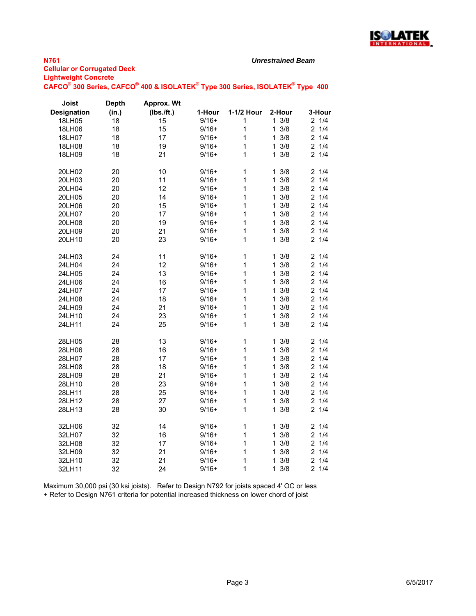

### *Unrestrained Beam*

| Joist              | <b>Depth</b> | Approx. Wt |         |              |                     |                       |
|--------------------|--------------|------------|---------|--------------|---------------------|-----------------------|
| <b>Designation</b> | (in.)        | (Ibs./ft.) | 1-Hour  | 1-1/2 Hour   | 2-Hour              | 3-Hour                |
| 18LH05             | 18           | 15         | $9/16+$ | 1            | $1 \frac{3}{8}$     | $2 \t1/4$             |
| 18LH06             | 18           | 15         | $9/16+$ | 1            | 3/8<br>$\mathbf 1$  | 1/4<br>$\overline{2}$ |
| 18LH07             | 18           | 17         | $9/16+$ | 1            | 3/8<br>1            | $\overline{2}$<br>1/4 |
| 18LH08             | 18           | 19         | $9/16+$ | 1            | 3/8<br>$\mathbf{1}$ | 1/4<br>2              |
| 18LH09             | 18           | 21         | $9/16+$ | 1            | 3/8<br>1            | 21/4                  |
| 20LH02             | 20           | 10         | $9/16+$ | 1            | 3/8<br>$\mathbf 1$  | 1/4<br>2              |
| 20LH03             | 20           | 11         | $9/16+$ | 1            | 3/8<br>1            | $\overline{2}$<br>1/4 |
| 20LH04             | 20           | 12         | $9/16+$ | $\mathbf{1}$ | 3/8<br>$\mathbf{1}$ | 1/4<br>$\overline{c}$ |
| 20LH05             | 20           | 14         | $9/16+$ | 1            | $\mathbf{1}$<br>3/8 | 21/4                  |
| 20LH06             | 20           | 15         | $9/16+$ | 1            | 3/8<br>$\mathbf{1}$ | $\overline{2}$<br>1/4 |
| 20LH07             | 20           | 17         | $9/16+$ | 1            | 3/8<br>$\mathbf{1}$ | $\overline{2}$<br>1/4 |
| 20LH08             | 20           | 19         | $9/16+$ | 1            | 3/8<br>$\mathbf{1}$ | $\overline{2}$<br>1/4 |
| 20LH09             | 20           | 21         | $9/16+$ | $\mathbf{1}$ | 3/8<br>1            | $\overline{c}$<br>1/4 |
| 20LH10             | 20           | 23         | $9/16+$ | 1            | 3/8<br>$\mathbf{1}$ | 2<br>1/4              |
| 24LH03             | 24           | 11         | $9/16+$ | 1            | 1<br>3/8            | 21/4                  |
| 24LH04             | 24           | 12         | $9/16+$ | 1            | 3/8<br>$\mathbf{1}$ | 21/4                  |
| 24LH05             | 24           | 13         | $9/16+$ | 1            | 3/8<br>$\mathbf{1}$ | 1/4<br>$\overline{2}$ |
| 24LH06             | 24           | 16         | $9/16+$ | 1            | 3/8<br>$\mathbf 1$  | $\overline{2}$<br>1/4 |
| 24LH07             | 24           | 17         | $9/16+$ | 1            | 3/8<br>$\mathbf 1$  | 1/4<br>2              |
| 24LH08             | 24           | 18         | $9/16+$ | 1            | 3/8<br>$\mathbf{1}$ | $\overline{2}$<br>1/4 |
| 24LH09             | 24           | 21         | $9/16+$ | 1            | 3/8<br>$\mathbf{1}$ | 1/4<br>$\overline{c}$ |
| 24LH10             | 24           | 23         | $9/16+$ | 1            | 3/8<br>$\mathbf{1}$ | $\overline{2}$<br>1/4 |
| 24LH11             | 24           | 25         | $9/16+$ | 1            | 3/8<br>1            | 1/4<br>2              |
| 28LH05             | 28           | 13         | $9/16+$ | 1            | $1 \frac{3}{8}$     | 1/4<br>$\overline{c}$ |
| 28LH06             | 28           | 16         | $9/16+$ | 1            | 3/8<br>$\mathbf 1$  | $\overline{2}$<br>1/4 |
| 28LH07             | 28           | 17         | $9/16+$ | 1            | $\mathbf{1}$<br>3/8 | $\overline{2}$<br>1/4 |
| 28LH08             | 28           | 18         | $9/16+$ | 1            | 3/8<br>$\mathbf{1}$ | $\overline{c}$<br>1/4 |
| 28LH09             | 28           | 21         | $9/16+$ | 1            | 3/8<br>$\mathbf{1}$ | 2<br>1/4              |
| 28LH10             | 28           | 23         | $9/16+$ | 1            | 3/8<br>$\mathbf{1}$ | 1/4<br>$\overline{2}$ |
| 28LH11             | 28           | 25         | $9/16+$ | 1            | 3/8<br>$\mathbf{1}$ | 1/4<br>$\overline{2}$ |
| 28LH12             | 28           | 27         | $9/16+$ | 1            | $\mathbf{1}$<br>3/8 | $\overline{c}$<br>1/4 |
| 28LH13             | 28           | 30         | $9/16+$ | 1            | 3/8<br>1            | 1/4<br>2              |
| 32LH06             | 32           | 14         | $9/16+$ | $\mathbf 1$  | $1 \frac{3}{8}$     | 21/4                  |
| 32LH07             | 32           | 16         | $9/16+$ | 1            | 3/8<br>$\mathbf 1$  | $\overline{c}$<br>1/4 |
| 32LH08             | 32           | 17         | $9/16+$ | 1            | 3/8<br>1            | $\overline{2}$<br>1/4 |
| 32LH09             | 32           | 21         | $9/16+$ | 1            | 3/8<br>1            | 1/4<br>$\overline{c}$ |
| 32LH10             | 32           | 21         | $9/16+$ | 1            | 3/8<br>1            | $\overline{2}$<br>1/4 |
| 32LH11             | 32           | 24         | $9/16+$ | 1            | 3/8<br>$\mathbf 1$  | $\overline{2}$<br>1/4 |

Maximum 30,000 psi (30 ksi joists). Refer to Design N792 for joists spaced 4' OC or less + Refer to Design N761 criteria for potential increased thickness on lower chord of joist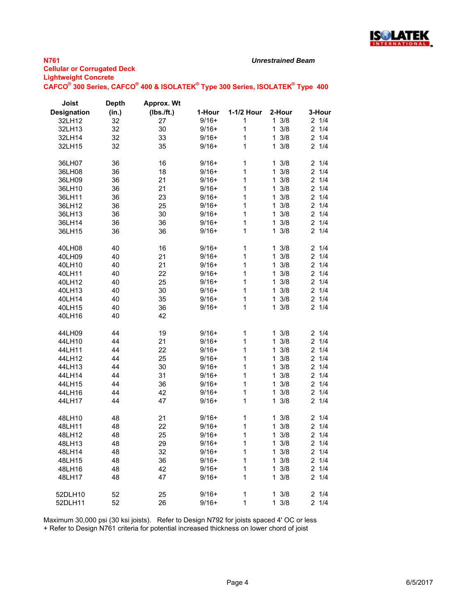

### *Unrestrained Beam*

| <u>- guanoigua conorea</u> |                                                                               |  |
|----------------------------|-------------------------------------------------------------------------------|--|
|                            | CAFCO® 300 Series, CAFCO® 400 & ISOLATEK® Type 300 Series, ISOLATEK® Type 400 |  |

| Joist              | <b>Depth</b> | Approx. Wt |         |             |                     |                       |
|--------------------|--------------|------------|---------|-------------|---------------------|-----------------------|
| <b>Designation</b> | (in.)        | (Ibs./ft.) | 1-Hour  | 1-1/2 Hour  | 2-Hour              | 3-Hour                |
| 32LH12             | 32           | 27         | $9/16+$ | 1           | $1 \frac{3}{8}$     | 21/4                  |
| 32LH13             | 32           | 30         | $9/16+$ | 1           | 3/8<br>$\mathbf{1}$ | 21/4                  |
| 32LH14             | 32           | 33         | $9/16+$ | $\mathbf 1$ | 3/8<br>$\mathbf{1}$ | 1/4<br>$\overline{2}$ |
| 32LH15             | 32           | 35         | $9/16+$ | 1           | 3/8<br>$\mathbf{1}$ | 21/4                  |
|                    |              |            |         |             |                     |                       |
| 36LH07             | 36           | 16         | $9/16+$ | 1           | $1 \frac{3}{8}$     | $2 \t1/4$             |
| 36LH08             | 36           | 18         | $9/16+$ | $\mathbf 1$ | 3/8<br>$\mathbf{1}$ | $\overline{2}$<br>1/4 |
| 36LH09             | 36           | 21         | $9/16+$ | $\mathbf 1$ | 3/8<br>$\mathbf{1}$ | $\overline{2}$<br>1/4 |
| 36LH10             | 36           | 21         | $9/16+$ | 1           | 3/8<br>$\mathbf{1}$ | 1/4<br>$\overline{c}$ |
| 36LH11             | 36           | 23         | $9/16+$ | 1           | $1 \frac{3}{8}$     | $2 \t1/4$             |
| 36LH12             | 36           | 25         | $9/16+$ | 1           | $1 \frac{3}{8}$     | $\overline{c}$<br>1/4 |
| 36LH13             | 36           | 30         | $9/16+$ | $\mathbf 1$ | 3/8<br>$\mathbf{1}$ | 1/4<br>2              |
| 36LH14             | 36           | 36         | $9/16+$ | 1           | 3/8<br>$\mathbf{1}$ | $\overline{2}$<br>1/4 |
| 36LH15             | 36           | 36         | $9/16+$ | 1           | 3/8<br>$\mathbf{1}$ | 21/4                  |
|                    |              |            |         |             |                     |                       |
| 40LH08             | 40           | 16         | $9/16+$ | 1           | $1 \frac{3}{8}$     | $2 \t1/4$             |
| 40LH09             | 40           | 21         | $9/16+$ | 1           | 3/8<br>$\mathbf{1}$ | 1/4<br>2              |
| 40LH10             | 40           | 21         | $9/16+$ | $\mathbf 1$ | 3/8<br>$\mathbf{1}$ | $\overline{2}$<br>1/4 |
| 40LH11             | 40           | 22         | $9/16+$ | $\mathbf 1$ | 3/8<br>$\mathbf{1}$ | $\overline{2}$<br>1/4 |
| 40LH12             | 40           | 25         | $9/16+$ | 1           | $1 \frac{3}{8}$     | 1/4<br>$\overline{c}$ |
| 40LH13             | 40           | 30         | $9/16+$ | 1           | 3/8<br>$\mathbf{1}$ | 21/4                  |
| 40LH14             | 40           | 35         | $9/16+$ | 1           | 3/8<br>$\mathbf{1}$ | $\overline{c}$<br>1/4 |
| 40LH15             | 40           | 36         | $9/16+$ | 1           | $1 \frac{3}{8}$     | 21/4                  |
| 40LH16             | 40           | 42         |         |             |                     |                       |
|                    |              |            |         |             |                     |                       |
| 44LH09             | 44           | 19         | $9/16+$ | $\mathbf 1$ | 3/8<br>1            | $2 \t1/4$             |
| 44LH10             | 44           | 21         | $9/16+$ | 1           | 3/8<br>$\mathbf{1}$ | $\overline{2}$<br>1/4 |
| 44LH11             | 44           | 22         | $9/16+$ | 1           | 3/8<br>1.           | $\overline{2}$<br>1/4 |
| 44LH12             | 44           | 25         | $9/16+$ | $\mathbf 1$ | 3/8<br>$\mathbf{1}$ | 1/4<br>$\overline{c}$ |
| 44LH13             | 44           | 30         | $9/16+$ | $\mathbf 1$ | 3/8<br>$\mathbf{1}$ | $\overline{2}$<br>1/4 |
| 44LH14             | 44           | 31         | $9/16+$ | 1           | $1 \frac{3}{8}$     | 1/4<br>$\overline{c}$ |
| 44LH15             | 44           | 36         | $9/16+$ | 1           | 3/8<br>$\mathbf{1}$ | 21/4                  |
| 44LH16             | 44           | 42         | $9/16+$ | 1           | 3/8<br>$\mathbf{1}$ | 2<br>1/4              |
| 44LH17             | 44           | 47         | $9/16+$ | 1           | 3/8<br>1            | 21/4                  |
| 48LH10             | 48           | 21         | $9/16+$ | 1           | 3/8<br>$\mathbf{1}$ | 1/4<br>2              |
| 48LH11             | 48           | 22         | $9/16+$ | 1           | 3/8<br>$\mathbf{1}$ | 1/4<br>$\overline{c}$ |
| 48LH12             | 48           | 25         | $9/16+$ | $\mathbf 1$ | 3/8<br>$\mathbf{1}$ | 21/4                  |
| 48LH13             | 48           | 29         | $9/16+$ | 1           | $1 \frac{3}{8}$     | 2 1/4                 |
| 48LH14             | 48           | 32         | $9/16+$ | $\mathbf 1$ | $1 \frac{3}{8}$     | $2 \t1/4$             |
| 48LH15             | 48           | 36         | $9/16+$ | 1           | 3/8<br>$\mathbf{1}$ | 21/4                  |
|                    | 48           | 42         | $9/16+$ | $\mathbf 1$ | 3/8<br>$\mathbf{1}$ | 21/4                  |
| 48LH16<br>48LH17   | 48           | 47         | $9/16+$ | 1           | 3/8<br>$\mathbf{1}$ | 21/4                  |
|                    |              |            |         |             |                     |                       |
| 52DLH10            | 52           | 25         | $9/16+$ | 1           | $1 \frac{3}{8}$     | $2 \t1/4$             |
| 52DLH11            | 52           | 26         | $9/16+$ | $\mathbf 1$ | $1 \frac{3}{8}$     | $2 \t1/4$             |

Maximum 30,000 psi (30 ksi joists). Refer to Design N792 for joists spaced 4' OC or less

+ Refer to Design N761 criteria for potential increased thickness on lower chord of joist